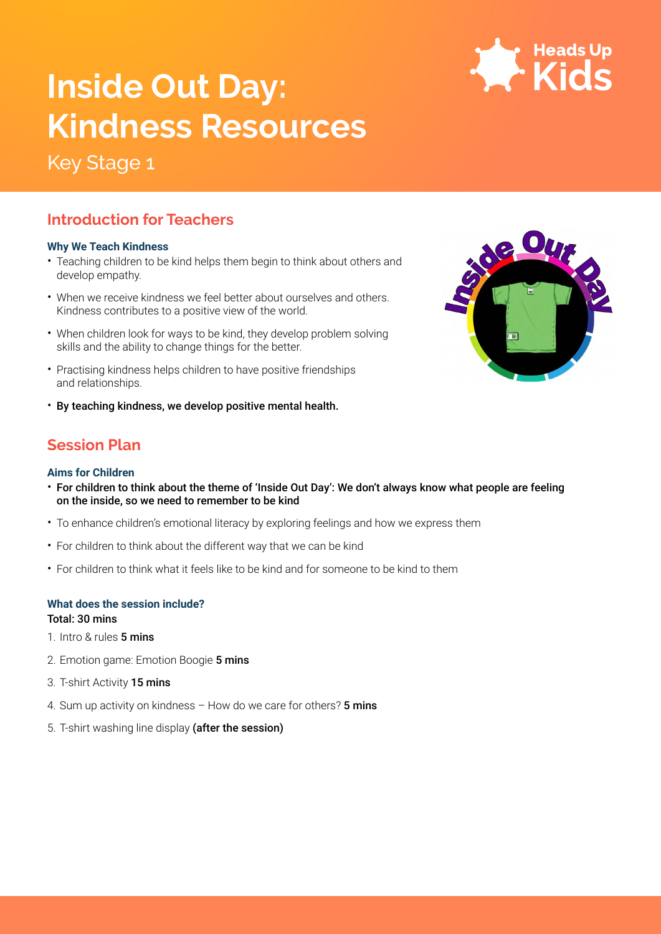

# **Inside Out Day: XXX Kindness Resources**

# Key Stage 1

## **Introduction for Teachers**

#### **Why We Teach Kindness**

- Teaching children to be kind helps them begin to think about others and develop empathy.
- When we receive kindness we feel better about ourselves and others. Kindness contributes to a positive view of the world.
- When children look for ways to be kind, they develop problem solving skills and the ability to change things for the better.
- Practising kindness helps children to have positive friendships and relationships.
- By teaching kindness, we develop positive mental health.

## **Session Plan**

#### **Aims for Children**

- For children to think about the theme of 'Inside Out Day': We don't always know what people are feeling on the inside, so we need to remember to be kind
- To enhance children's emotional literacy by exploring feelings and how we express them
- For children to think about the different way that we can be kind
- For children to think what it feels like to be kind and for someone to be kind to them

#### **What does the session include?**

Total: 30 mins

1. Intro & rules 5 mins

- 2. Emotion game: Emotion Boogie 5 mins
- 3. T-shirt Activity 15 mins
- 4. Sum up activity on kindness  $-$  How do we care for others? **5 mins**
- 5. T-shirt washing line display (after the session)

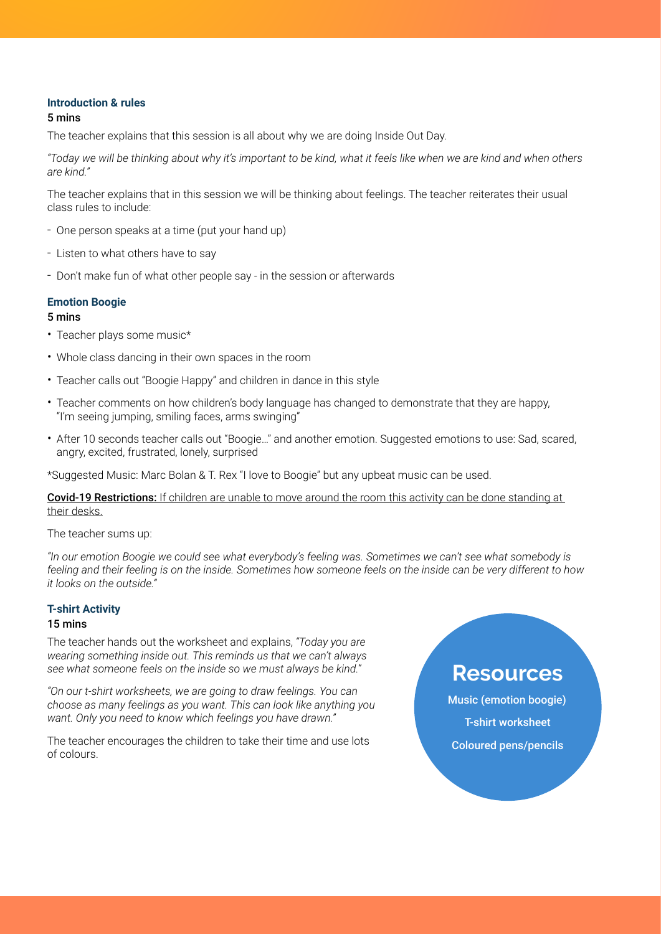#### **Introduction & rules**

#### 5 mins

The teacher explains that this session is all about why we are doing Inside Out Day.

*"Today we will be thinking about why it's important to be kind, what it feels like when we are kind and when others are kind."*

The teacher explains that in this session we will be thinking about feelings. The teacher reiterates their usual class rules to include:

- One person speaks at a time (put your hand up)
- Listen to what others have to say
- Don't make fun of what other people say in the session or afterwards

#### **Emotion Boogie**

#### 5 mins

- Teacher plays some music\*
- Whole class dancing in their own spaces in the room
- Teacher calls out "Boogie Happy" and children in dance in this style
- Teacher comments on how children's body language has changed to demonstrate that they are happy, "I'm seeing jumping, smiling faces, arms swinging"
- After 10 seconds teacher calls out "Boogie…" and another emotion. Suggested emotions to use: Sad, scared, angry, excited, frustrated, lonely, surprised

\*Suggested Music: Marc Bolan & T. Rex "I love to Boogie" but any upbeat music can be used.

#### Covid-19 Restrictions: If children are unable to move around the room this activity can be done standing at their desks.

The teacher sums up:

*"In our emotion Boogie we could see what everybody's feeling was. Sometimes we can't see what somebody is feeling and their feeling is on the inside. Sometimes how someone feels on the inside can be very different to how it looks on the outside."*

#### **T-shirt Activity**

#### 15 mins

The teacher hands out the worksheet and explains, *"Today you are wearing something inside out. This reminds us that we can't always see what someone feels on the inside so we must always be kind."*

*"On our t-shirt worksheets, we are going to draw feelings. You can choose as many feelings as you want. This can look like anything you want. Only you need to know which feelings you have drawn."*

The teacher encourages the children to take their time and use lots of colours.

## **Resources**

Music (emotion boogie) T-shirt worksheet Coloured pens/pencils